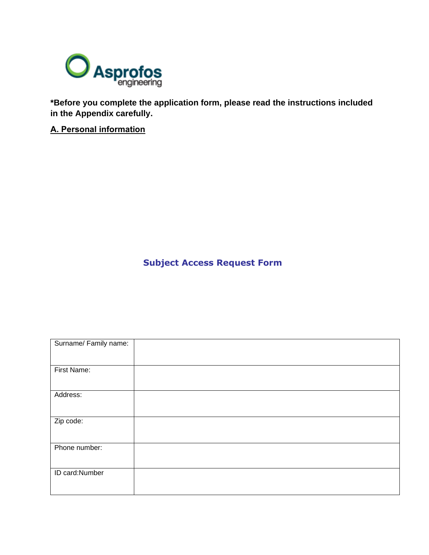

**\*Before you complete the application form, please read the instructions included in the Appendix carefully.**

**Α. Personal information**

**Subject Access Request Form**

| Surname/ Family name: |  |
|-----------------------|--|
|                       |  |
| First Name:           |  |
|                       |  |
| Address:              |  |
|                       |  |
| Zip code:             |  |
|                       |  |
| Phone number:         |  |
|                       |  |
| ID card:Number        |  |
|                       |  |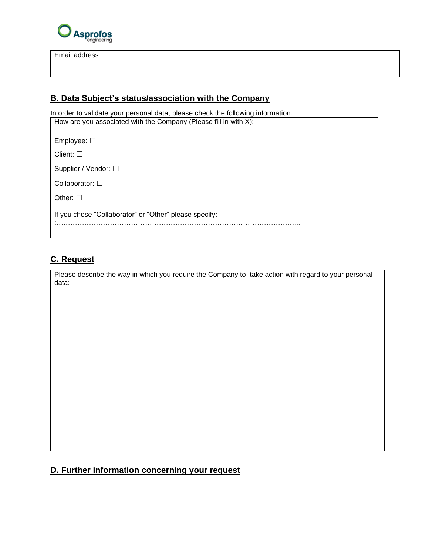

Email address:

### **Β. Data Subject's status/association with the Company**

In order to validate your personal data, please check the following information. How are you associated with the Company (Please fill in with Χ):

| Employee: $\square$                                    |
|--------------------------------------------------------|
| Client: $\square$                                      |
| Supplier / Vendor: □                                   |
| Collaborator: $\square$                                |
| Other: $\square$                                       |
| If you chose "Collaborator" or "Other" please specify: |

# **C. Request**

Please describe the way in which you require the Company to take action with regard to your personal data:

## **D. Further information concerning your request**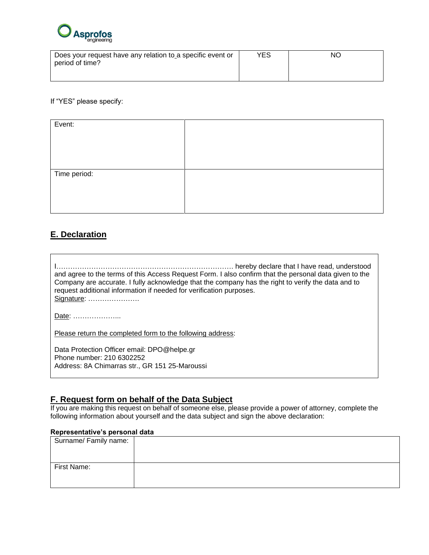

| Does your request have any relation to a specific event or | <b>YES</b> | NΟ |
|------------------------------------------------------------|------------|----|
| period of time?                                            |            |    |
|                                                            |            |    |

If "YES" please specify:

| Event:       |  |
|--------------|--|
|              |  |
|              |  |
|              |  |
| Time period: |  |
|              |  |
|              |  |
|              |  |

# **E. Declaration**

| and agree to the terms of this Access Request Form. I also confirm that the personal data given to the<br>Company are accurate. I fully acknowledge that the company has the right to verify the data and to<br>request additional information if needed for verification purposes.<br>Signature: |  |
|---------------------------------------------------------------------------------------------------------------------------------------------------------------------------------------------------------------------------------------------------------------------------------------------------|--|
| Date:                                                                                                                                                                                                                                                                                             |  |
| Please return the completed form to the following address:                                                                                                                                                                                                                                        |  |
| Data Protection Officer email: DPO@helpe.gr<br>Phone number: 210 6302252<br>Address: 8A Chimarras str., GR 151 25-Maroussi                                                                                                                                                                        |  |

### **F. Request form on behalf of the Data Subject**

If you are making this request on behalf of someone else, please provide a power of attorney, complete the following information about yourself and the data subject and sign the above declaration:

### **Representative's personal data**

| Surname/ Family name: |  |
|-----------------------|--|
|                       |  |
|                       |  |
| First Name:           |  |
|                       |  |
|                       |  |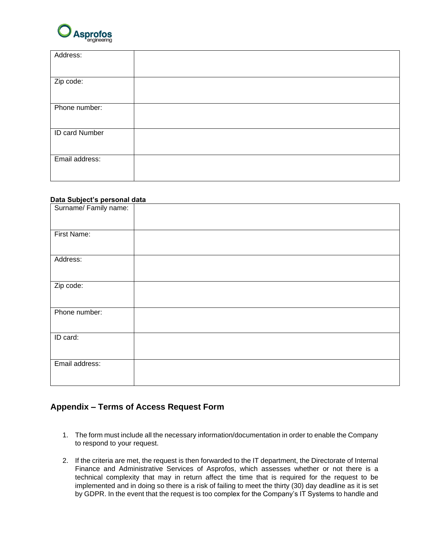

| Address:              |  |
|-----------------------|--|
|                       |  |
| Zip code:             |  |
|                       |  |
| Phone number:         |  |
|                       |  |
| <b>ID card Number</b> |  |
|                       |  |
| Email address:        |  |
|                       |  |

#### **Data Subject's personal data**

| Surname/Family name: |  |
|----------------------|--|
|                      |  |
| First Name:          |  |
| Address:             |  |
| Zip code:            |  |
| Phone number:        |  |
| ID card:             |  |
| Email address:       |  |

### **Appendix – Terms of Access Request Form**

- 1. The form must include all the necessary information/documentation in order to enable the Company to respond to your request.
- 2. If the criteria are met, the request is then forwarded to the IT department, the Directorate of Internal Finance and Administrative Services of Asprofos, which assesses whether or not there is a technical complexity that may in return affect the time that is required for the request to be implemented and in doing so there is a risk of failing to meet the thirty (30) day deadline as it is set by GDPR. In the event that the request is too complex for the Company's IT Systems to handle and